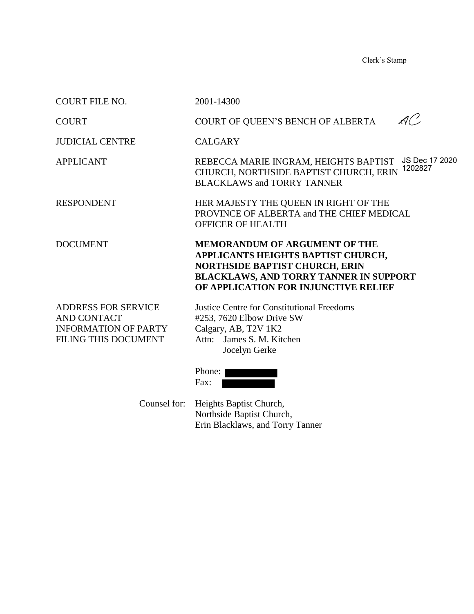Clerk's Stamp

| <b>COURT FILE NO.</b>                                                                                   | 2001-14300                                                                                                                                                                                                   |
|---------------------------------------------------------------------------------------------------------|--------------------------------------------------------------------------------------------------------------------------------------------------------------------------------------------------------------|
| <b>COURT</b>                                                                                            | 1 ( ' )<br>COURT OF QUEEN'S BENCH OF ALBERTA                                                                                                                                                                 |
| <b>JUDICIAL CENTRE</b>                                                                                  | <b>CALGARY</b>                                                                                                                                                                                               |
| <b>APPLICANT</b>                                                                                        | JS Dec 17 2020<br>REBECCA MARIE INGRAM, HEIGHTS BAPTIST<br>1202827<br>CHURCH, NORTHSIDE BAPTIST CHURCH, ERIN<br><b>BLACKLAWS and TORRY TANNER</b>                                                            |
| <b>RESPONDENT</b>                                                                                       | HER MAJESTY THE QUEEN IN RIGHT OF THE<br>PROVINCE OF ALBERTA and THE CHIEF MEDICAL<br><b>OFFICER OF HEALTH</b>                                                                                               |
| <b>DOCUMENT</b>                                                                                         | <b>MEMORANDUM OF ARGUMENT OF THE</b><br>APPLICANTS HEIGHTS BAPTIST CHURCH,<br><b>NORTHSIDE BAPTIST CHURCH, ERIN</b><br><b>BLACKLAWS, AND TORRY TANNER IN SUPPORT</b><br>OF APPLICATION FOR INJUNCTIVE RELIEF |
| <b>ADDRESS FOR SERVICE</b><br>AND CONTACT<br><b>INFORMATION OF PARTY</b><br><b>FILING THIS DOCUMENT</b> | <b>Justice Centre for Constitutional Freedoms</b><br>#253, 7620 Elbow Drive SW<br>Calgary, AB, T2V 1K2<br>Attn: James S. M. Kitchen<br>Jocelyn Gerke                                                         |
|                                                                                                         | Phone:<br>Fax:                                                                                                                                                                                               |

 Counsel for: Heights Baptist Church, Northside Baptist Church, Erin Blacklaws, and Torry Tanner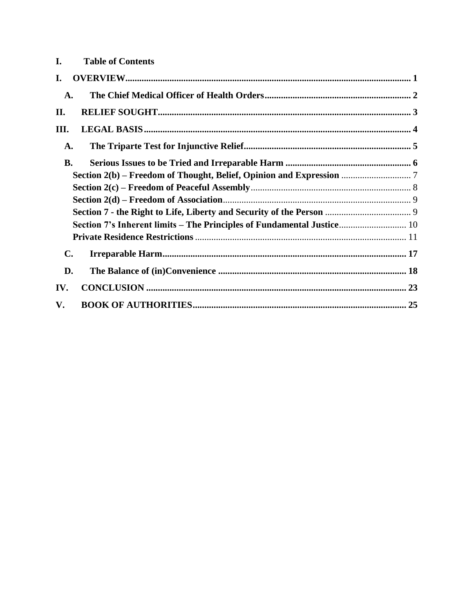| I.<br><b>Table of Contents</b>                                         |  |
|------------------------------------------------------------------------|--|
| I.                                                                     |  |
| A.                                                                     |  |
| II.                                                                    |  |
| III.                                                                   |  |
| A.                                                                     |  |
| <b>B.</b>                                                              |  |
|                                                                        |  |
|                                                                        |  |
|                                                                        |  |
|                                                                        |  |
| Section 7's Inherent limits – The Principles of Fundamental Justice 10 |  |
|                                                                        |  |
| $\mathbf{C}$ .                                                         |  |
| D.                                                                     |  |
| IV.                                                                    |  |
| V.                                                                     |  |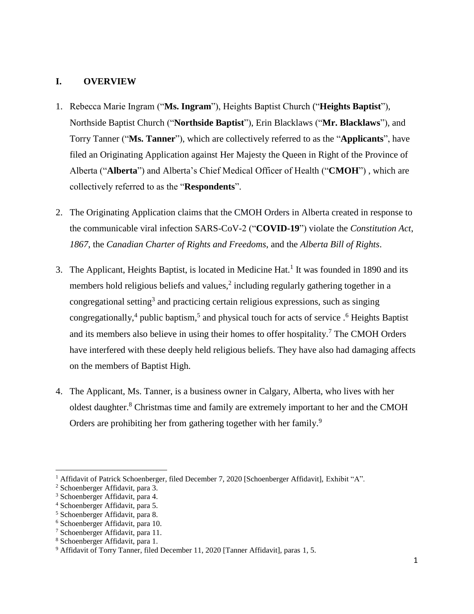#### <span id="page-2-0"></span>**I. OVERVIEW**

- 1. Rebecca Marie Ingram ("**Ms. Ingram**"), Heights Baptist Church ("**Heights Baptist**"), Northside Baptist Church ("**Northside Baptist**"), Erin Blacklaws ("**Mr. Blacklaws**"), and Torry Tanner ("**Ms. Tanner**"), which are collectively referred to as the "**Applicants**", have filed an Originating Application against Her Majesty the Queen in Right of the Province of Alberta ("**Alberta**") and Alberta's Chief Medical Officer of Health ("**CMOH**") , which are collectively referred to as the "**Respondents**".
- 2. The Originating Application claims that the CMOH Orders in Alberta created in response to the communicable viral infection SARS-CoV-2 ("**COVID-19**") violate the *Constitution Act*, *1867*, the *Canadian Charter of Rights and Freedoms*, and the *Alberta Bill of Rights*.
- 3. The Applicant, Heights Baptist, is located in Medicine Hat.<sup>1</sup> It was founded in 1890 and its members hold religious beliefs and values, $<sup>2</sup>$  including regularly gathering together in a</sup> congregational setting<sup>3</sup> and practicing certain religious expressions, such as singing congregationally,<sup>4</sup> public baptism,<sup>5</sup> and physical touch for acts of service .<sup>6</sup> Heights Baptist and its members also believe in using their homes to offer hospitality.<sup>7</sup> The CMOH Orders have interfered with these deeply held religious beliefs. They have also had damaging affects on the members of Baptist High.
- 4. The Applicant, Ms. Tanner, is a business owner in Calgary, Alberta, who lives with her oldest daughter. <sup>8</sup> Christmas time and family are extremely important to her and the CMOH Orders are prohibiting her from gathering together with her family.<sup>9</sup>

<sup>&</sup>lt;sup>1</sup> Affidavit of Patrick Schoenberger, filed December 7, 2020 [Schoenberger Affidavit], Exhibit "A".

<sup>2</sup> Schoenberger Affidavit, para 3.

<sup>3</sup> Schoenberger Affidavit, para 4.

<sup>4</sup> Schoenberger Affidavit, para 5.

<sup>5</sup> Schoenberger Affidavit, para 8.

<sup>6</sup> Schoenberger Affidavit, para 10.

<sup>7</sup> Schoenberger Affidavit, para 11.

<sup>8</sup> Schoenberger Affidavit, para 1.

<sup>9</sup> Affidavit of Torry Tanner, filed December 11, 2020 [Tanner Affidavit], paras 1, 5.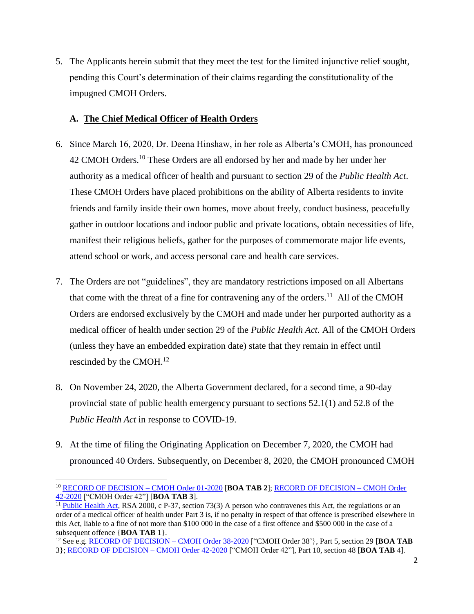5. The Applicants herein submit that they meet the test for the limited injunctive relief sought, pending this Court's determination of their claims regarding the constitutionality of the impugned CMOH Orders.

### <span id="page-3-0"></span>**A. The Chief Medical Officer of Health Orders**

- 6. Since March 16, 2020, Dr. Deena Hinshaw, in her role as Alberta's CMOH, has pronounced 42 CMOH Orders.<sup>10</sup> These Orders are all endorsed by her and made by her under her authority as a medical officer of health and pursuant to section 29 of the *Public Health Act*. These CMOH Orders have placed prohibitions on the ability of Alberta residents to invite friends and family inside their own homes, move about freely, conduct business, peacefully gather in outdoor locations and indoor public and private locations, obtain necessities of life, manifest their religious beliefs, gather for the purposes of commemorate major life events, attend school or work, and access personal care and health care services.
- 7. The Orders are not "guidelines", they are mandatory restrictions imposed on all Albertans that come with the threat of a fine for contravening any of the orders.<sup>11</sup> All of the CMOH Orders are endorsed exclusively by the CMOH and made under her purported authority as a medical officer of health under section 29 of the *Public Health Act.* All of the CMOH Orders (unless they have an embedded expiration date) state that they remain in effect until rescinded by the CMOH. $^{12}$
- 8. On November 24, 2020, the Alberta Government declared, for a second time, a 90-day provincial state of public health emergency pursuant to sections 52.1(1) and 52.8 of the *Public Health Act* in response to COVID-19.
- 9. At the time of filing the Originating Application on December 7, 2020, the CMOH had pronounced 40 Orders. Subsequently, on December 8, 2020, the CMOH pronounced CMOH

<sup>10</sup> RECORD OF DECISION – CMOH Order 01-2020 [**BOA TAB 2**]; RECORD OF DECISION – CMOH Order 42-2020 ["CMOH Order 42"] [**BOA TAB 3**].

<sup>&</sup>lt;sup>11</sup> Public Health Act, RSA 2000, c P-37, section 73(3) A person who contravenes this Act, the regulations or an order of a medical officer of health under Part 3 is, if no penalty in respect of that offence is prescribed elsewhere in this Act, liable to a fine of not more than \$100 000 in the case of a first offence and \$500 000 in the case of a subsequent offence {**BOA TAB** 1}.

<sup>12</sup> See e.g. RECORD OF DECISION – CMOH Order 38-2020 ["CMOH Order 38'}, Part 5, section 29 [**BOA TAB** 3}; RECORD OF DECISION – CMOH Order 42-2020 ["CMOH Order 42"], Part 10, section 48 [**BOA TAB** 4].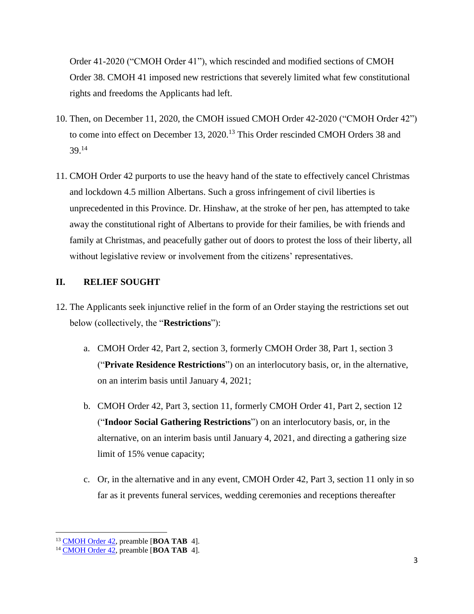Order 41-2020 ("CMOH Order 41"), which rescinded and modified sections of CMOH Order 38. CMOH 41 imposed new restrictions that severely limited what few constitutional rights and freedoms the Applicants had left.

- 10. Then, on December 11, 2020, the CMOH issued CMOH Order 42-2020 ("CMOH Order 42") to come into effect on December 13, 2020.<sup>13</sup> This Order rescinded CMOH Orders 38 and 39.<sup>14</sup>
- 11. CMOH Order 42 purports to use the heavy hand of the state to effectively cancel Christmas and lockdown 4.5 million Albertans. Such a gross infringement of civil liberties is unprecedented in this Province. Dr. Hinshaw, at the stroke of her pen, has attempted to take away the constitutional right of Albertans to provide for their families, be with friends and family at Christmas, and peacefully gather out of doors to protest the loss of their liberty, all without legislative review or involvement from the citizens' representatives.

### <span id="page-4-0"></span>**II. RELIEF SOUGHT**

- 12. The Applicants seek injunctive relief in the form of an Order staying the restrictions set out below (collectively, the "**Restrictions**"):
	- a. CMOH Order 42, Part 2, section 3, formerly CMOH Order 38, Part 1, section 3 ("**Private Residence Restrictions**") on an interlocutory basis, or, in the alternative, on an interim basis until January 4, 2021;
	- b. CMOH Order 42, Part 3, section 11, formerly CMOH Order 41, Part 2, section 12 ("**Indoor Social Gathering Restrictions**") on an interlocutory basis, or, in the alternative, on an interim basis until January 4, 2021, and directing a gathering size limit of 15% venue capacity;
	- c. Or, in the alternative and in any event, CMOH Order 42, Part 3, section 11 only in so far as it prevents funeral services, wedding ceremonies and receptions thereafter

<sup>13</sup> CMOH Order 42, preamble [**BOA TAB** 4].

<sup>14</sup> CMOH Order 42, preamble [**BOA TAB** 4].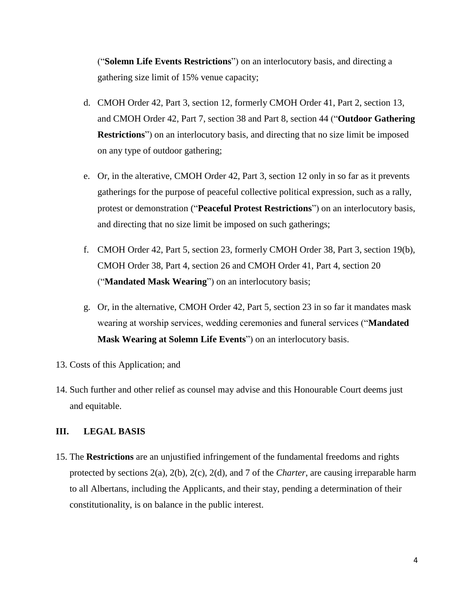("**Solemn Life Events Restrictions**") on an interlocutory basis, and directing a gathering size limit of 15% venue capacity;

- d. CMOH Order 42, Part 3, section 12, formerly CMOH Order 41, Part 2, section 13, and CMOH Order 42, Part 7, section 38 and Part 8, section 44 ("**Outdoor Gathering Restrictions**") on an interlocutory basis, and directing that no size limit be imposed on any type of outdoor gathering;
- e. Or, in the alterative, CMOH Order 42, Part 3, section 12 only in so far as it prevents gatherings for the purpose of peaceful collective political expression, such as a rally, protest or demonstration ("**Peaceful Protest Restrictions**") on an interlocutory basis, and directing that no size limit be imposed on such gatherings;
- f. CMOH Order 42, Part 5, section 23, formerly CMOH Order 38, Part 3, section 19(b), CMOH Order 38, Part 4, section 26 and CMOH Order 41, Part 4, section 20 ("**Mandated Mask Wearing**") on an interlocutory basis;
- g. Or, in the alternative, CMOH Order 42, Part 5, section 23 in so far it mandates mask wearing at worship services, wedding ceremonies and funeral services ("**Mandated Mask Wearing at Solemn Life Events**") on an interlocutory basis.
- 13. Costs of this Application; and
- 14. Such further and other relief as counsel may advise and this Honourable Court deems just and equitable.

### <span id="page-5-0"></span>**III. LEGAL BASIS**

15. The **Restrictions** are an unjustified infringement of the fundamental freedoms and rights protected by sections 2(a), 2(b), 2(c), 2(d), and 7 of the *Charter*, are causing irreparable harm to all Albertans, including the Applicants, and their stay, pending a determination of their constitutionality, is on balance in the public interest.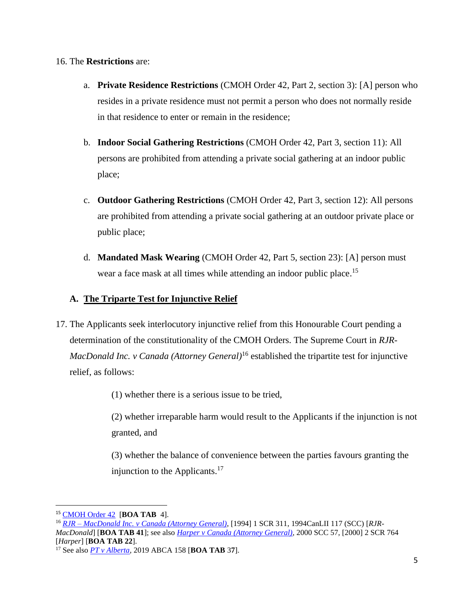#### 16. The **Restrictions** are:

- a. **Private Residence Restrictions** (CMOH Order 42, Part 2, section 3): [A] person who resides in a private residence must not permit a person who does not normally reside in that residence to enter or remain in the residence;
- b. **Indoor Social Gathering Restrictions** (CMOH Order 42, Part 3, section 11): All persons are prohibited from attending a private social gathering at an indoor public place;
- c. **Outdoor Gathering Restrictions** (CMOH Order 42, Part 3, section 12): All persons are prohibited from attending a private social gathering at an outdoor private place or public place;
- d. **Mandated Mask Wearing** (CMOH Order 42, Part 5, section 23): [A] person must wear a face mask at all times while attending an indoor public place.<sup>15</sup>

## <span id="page-6-0"></span>**A. The Triparte Test for Injunctive Relief**

17. The Applicants seek interlocutory injunctive relief from this Honourable Court pending a determination of the constitutionality of the CMOH Orders. The Supreme Court in *RJR-MacDonald Inc. v Canada (Attorney General)*<sup>16</sup> established the tripartite test for injunctive relief, as follows:

(1) whether there is a serious issue to be tried,

(2) whether irreparable harm would result to the Applicants if the injunction is not granted, and

(3) whether the balance of convenience between the parties favours granting the injunction to the Applicants. $17$ 

<sup>15</sup> CMOH Order 42 [**BOA TAB** 4].

<sup>16</sup> *RJR – MacDonald Inc. v Canada (Attorney General)*, [1994] 1 SCR 311, 1994CanLII 117 (SCC) [*RJR-MacDonald*] [**BOA TAB 41**]; see also *Harper v Canada (Attorney General),* 2000 SCC 57, [2000] 2 SCR 764 [*Harper*] [**BOA TAB 22**].

<sup>17</sup> See also *PT v Alberta,* 2019 ABCA 158 [**BOA TAB** 3**7**].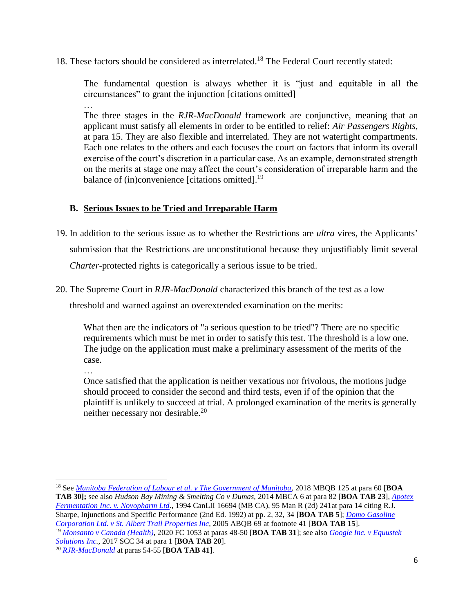18. These factors should be considered as interrelated. <sup>18</sup> The Federal Court recently stated:

The fundamental question is always whether it is "just and equitable in all the circumstances" to grant the injunction [citations omitted] …

The three stages in the *RJR-MacDonald* framework are conjunctive, meaning that an applicant must satisfy all elements in order to be entitled to relief: *Air Passengers Rights*, at para 15. They are also flexible and interrelated. They are not watertight compartments. Each one relates to the others and each focuses the court on factors that inform its overall exercise of the court's discretion in a particular case. As an example, demonstrated strength on the merits at stage one may affect the court's consideration of irreparable harm and the balance of (in)convenience [citations omitted].<sup>19</sup>

# <span id="page-7-0"></span>**B. Serious Issues to be Tried and Irreparable Harm**

- 19. In addition to the serious issue as to whether the Restrictions are *ultra* vires, the Applicants' submission that the Restrictions are unconstitutional because they unjustifiably limit several *Charter*-protected rights is categorically a serious issue to be tried.
- 20. The Supreme Court in *RJR-MacDonald* characterized this branch of the test as a low threshold and warned against an overextended examination on the merits:

What then are the indicators of "a serious question to be tried"? There are no specific requirements which must be met in order to satisfy this test. The threshold is a low one. The judge on the application must make a preliminary assessment of the merits of the case.

…

 $\overline{a}$ 

Once satisfied that the application is neither vexatious nor frivolous, the motions judge should proceed to consider the second and third tests, even if of the opinion that the plaintiff is unlikely to succeed at trial. A prolonged examination of the merits is generally neither necessary nor desirable.<sup>20</sup>

<sup>18</sup> See *Manitoba Federation of Labour et al. v The Government of Manitoba,* 2018 MBQB 125 at para 60 [**BOA TAB 30];** see also *Hudson Bay Mining & Smelting Co v Dumas,* 2014 MBCA 6 at para 82 [**BOA TAB 23**], *Apotex Fermentation Inc. v. Novopharm Ltd.,* 1994 CanLII 16694 (MB CA), 95 Man R (2d) 241at para 14 citing R.J. Sharpe, Injunctions and Specific Performance (2nd Ed. 1992) at pp. 2, 32, 34 [**BOA TAB 5**]; *Domo Gasoline Corporation Ltd. v St. Albert Trail Properties Inc,* 2005 ABQB 69 at footnote 41 [**BOA TAB 15**]. <sup>19</sup> *Monsanto v Canada (Health),* 2020 FC 1053 at paras 48-50 [**BOA TAB 31**]; see also *Google Inc. v Equustek Solutions Inc.,* 2017 SCC 34 at para 1 [**BOA TAB 20**].

<sup>20</sup> *RJR-MacDonald* at paras 54-55 [**BOA TAB 41**].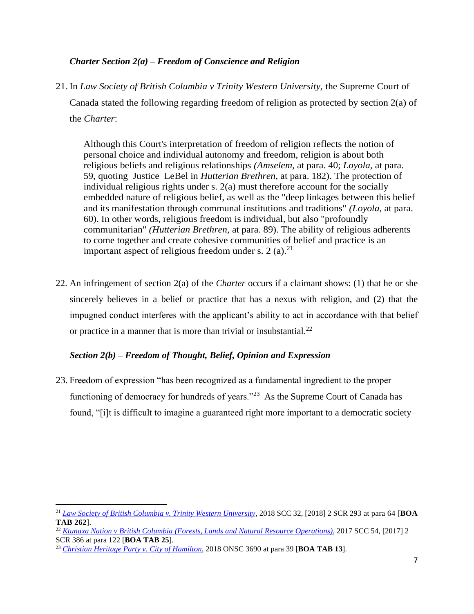### *Charter Section 2(a) – Freedom of Conscience and Religion*

21. In *Law Society of British Columbia v Trinity Western University,* the Supreme Court of Canada stated the following regarding freedom of religion as protected by section 2(a) of the *Charter*:

Although this Court's interpretation of freedom of religion reflects the notion of personal choice and individual autonomy and freedom, religion is about both religious beliefs and religious relationships *(Amselem,* at para. 40; *Loyola,* at para. 59, quoting Justice LeBel in *Hutterian Brethren,* at para. 182). The protection of individual religious rights under s. 2(a) must therefore account for the socially embedded nature of religious belief, as well as the "deep linkages between this belief and its manifestation through communal institutions and traditions" *(Loyola,* at para. 60). In other words, religious freedom is individual, but also "profoundly communitarian" *(Hutterian Brethren,* at para. 89). The ability of religious adherents to come together and create cohesive communities of belief and practice is an important aspect of religious freedom under s. 2 (a).<sup>21</sup>

22. An infringement of section 2(a) of the *Charter* occurs if a claimant shows: (1) that he or she sincerely believes in a belief or practice that has a nexus with religion, and (2) that the impugned conduct interferes with the applicant's ability to act in accordance with that belief or practice in a manner that is more than trivial or insubstantial. $^{22}$ 

### <span id="page-8-0"></span>*Section 2(b) – Freedom of Thought, Belief, Opinion and Expression*

23. Freedom of expression "has been recognized as a fundamental ingredient to the proper functioning of democracy for hundreds of years."<sup>23</sup> As the Supreme Court of Canada has found, "[i]t is difficult to imagine a guaranteed right more important to a democratic society

<sup>21</sup> *Law Society of British Columbia v. Trinity Western University,* 2018 SCC 32, [2018] 2 SCR 293 at para 64 [**BOA TAB 262**].

<sup>22</sup> *Ktunaxa Nation v British Columbia (Forests, Lands and Natural Resource Operations)*, 2017 SCC 54, [2017] 2 SCR 386 at para 122 [**BOA TAB 25**].

<sup>23</sup> *Christian Heritage Party v. City of Hamilton*, 2018 ONSC 3690 at para 39 [**BOA TAB 13**].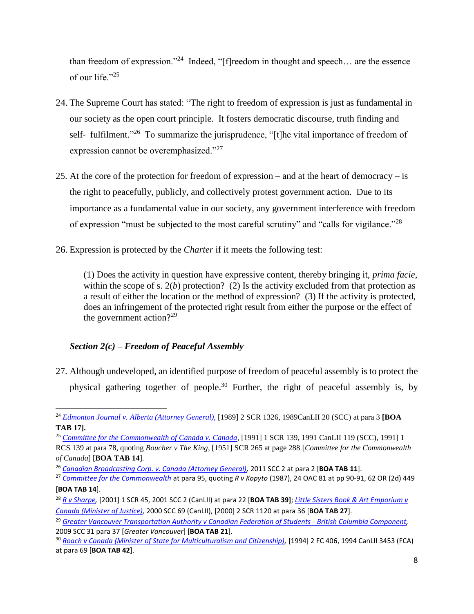than freedom of expression."<sup>24</sup> Indeed, "[f]reedom in thought and speech... are the essence of our life."<sup>25</sup>

- 24. The Supreme Court has stated: "The right to freedom of expression is just as fundamental in our society as the open court principle. It fosters democratic discourse, truth finding and self- fulfilment."<sup>26</sup> To summarize the jurisprudence, "[t]he vital importance of freedom of expression cannot be overemphasized."<sup>27</sup>
- 25. At the core of the protection for freedom of expression and at the heart of democracy is the right to peacefully, publicly, and collectively protest government action. Due to its importance as a fundamental value in our society, any government interference with freedom of expression "must be subjected to the most careful scrutiny" and "calls for vigilance."<sup>28</sup>
- 26. Expression is protected by the *Charter* if it meets the following test:

(1) Does the activity in question have expressive content, thereby bringing it, *prima facie*, within the scope of s.  $2(b)$  protection? (2) Is the activity excluded from that protection as a result of either the location or the method of expression? (3) If the activity is protected, does an infringement of the protected right result from either the purpose or the effect of the government action?<sup>29</sup>

## <span id="page-9-0"></span>*Section 2(c) – Freedom of Peaceful Assembly*

 $\overline{a}$ 

27. Although undeveloped, an identified purpose of freedom of peaceful assembly is to protect the physical gathering together of people.<sup>30</sup> Further, the right of peaceful assembly is, by

<sup>24</sup> *Edmonton Journal v. Alberta (Attorney General),* [1989] 2 SCR 1326, 1989CanLII 20 (SCC) at para 3 **[BOA TAB 17].**

<sup>25</sup> *Committee for the Commonwealth of Canada v. Canada,* [1991] 1 SCR 139, 1991 CanLII 119 (SCC), 1991] 1

RCS 139 at para 78, quoting *Boucher v The King*, [1951] SCR 265 at page 288 [*Committee for the Commonwealth of Canada*] [**BOA TAB 14**].

<sup>26</sup> *Canadian Broadcasting Corp. v. Canada (Attorney General),* 2011 SCC 2 at para 2 [**BOA TAB 11**].

<sup>27</sup> *Committee for the Commonwealth* at para 95, quoting *R v Kopyto* (1987), 24 OAC 81 at pp 90-91, 62 OR (2d) 449 [**BOA TAB 14**].

<sup>28</sup> *R v Sharpe,* [2001] 1 SCR 45, 2001 SCC 2 (CanLII) at para 22 [**BOA TAB 39]**; *Little Sisters Book & Art Emporium v Canada (Minister of Justice),* 2000 SCC 69 (CanLII), [2000] 2 SCR 1120 at para 36 [**BOA TAB 27**].

<sup>29</sup> *Greater Vancouver Transportation Authority v Canadian Federation of Students - British Columbia Component,*  2009 SCC 31 para 37 [*Greater Vancouver*] [**BOA TAB 21**].

<sup>&</sup>lt;sup>30</sup> Roach v Canada (Minister of State for Multiculturalism and Citizenship), [1994] 2 FC 406, 1994 CanLII 3453 (FCA) at para 69 [**BOA TAB 42**].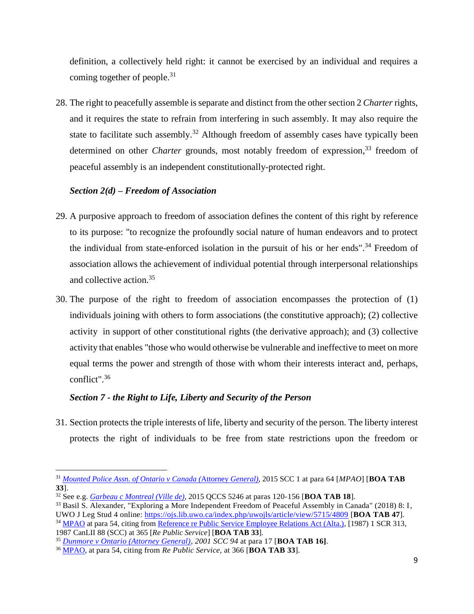definition, a collectively held right: it cannot be exercised by an individual and requires a coming together of people.<sup>31</sup>

28. The right to peacefully assemble is separate and distinct from the other section 2 *Charter* rights, and it requires the state to refrain from interfering in such assembly. It may also require the state to facilitate such assembly.<sup>32</sup> Although freedom of assembly cases have typically been determined on other *Charter* grounds, most notably freedom of expression,<sup>33</sup> freedom of peaceful assembly is an independent constitutionally-protected right.

### <span id="page-10-0"></span>*Section 2(d) – Freedom of Association*

- 29. A purposive approach to freedom of association defines the content of this right by reference to its purpose: "to recognize the profoundly social nature of human endeavors and to protect the individual from state-enforced isolation in the pursuit of his or her ends".<sup>34</sup> Freedom of association allows the achievement of individual potential through interpersonal relationships and collective action.<sup>35</sup>
- 30. The purpose of the right to freedom of association encompasses the protection of (1) individuals joining with others to form associations (the constitutive approach); (2) collective activity in support of other constitutional rights (the derivative approach); and (3) collective activity that enables "those who would otherwise be vulnerable and ineffective to meet on more equal terms the power and strength of those with whom their interests interact and, perhaps, conflict". 36

#### <span id="page-10-1"></span>*Section 7 - the Right to Life, Liberty and Security of the Person*

31. Section protects the triple interests of life, liberty and security of the person. The liberty interest protects the right of individuals to be free from state restrictions upon the freedom or

 $\overline{a}$ <sup>31</sup> *Mounted Police Assn. of Ontario v Canada (*Attorney *General),* 2015 SCC 1 at para 64 [*MPAO*] [**BOA TAB 33**].

<sup>32</sup> See e.g. *Garbeau c Montreal (Ville de),* 2015 QCCS 5246 at paras 120-156 [**BOA TAB 18**].

<sup>33</sup> Basil S. Alexander, "Exploring a More Independent Freedom of Peaceful Assembly in Canada" (2018) 8: I, UWO J Leg Stud 4 online: https://ojs.lib.uwo.ca/index.php/uwojls/article/view/5715/4809 [**BOA TAB 47**]. <sup>34</sup> MPAO at para 54, citing from Reference re Public Service Employee Relations Act (Alta.), [1987) 1 SCR 313, 1987 CanLII 88 (SCC) at 365 [*Re Public Service*] [**BOA TAB 33**].

<sup>35</sup> *Dunmore v Ontario (Attorney General), 2001 SCC 94* at para 17 [**BOA TAB 16]**.

<sup>36</sup> MPAO, at para 54, citing from *Re Public Service,* at 366 [**BOA TAB 33**].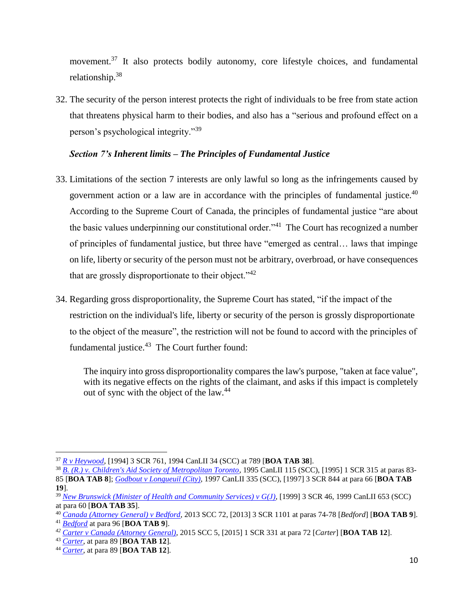movement.<sup>37</sup> It also protects bodily autonomy, core lifestyle choices, and fundamental relationship.<sup>38</sup>

32. The security of the person interest protects the right of individuals to be free from state action that threatens physical harm to their bodies, and also has a "serious and profound effect on a person's psychological integrity."<sup>39</sup>

### <span id="page-11-0"></span>*Section 7's Inherent limits – The Principles of Fundamental Justice*

- 33. Limitations of the section 7 interests are only lawful so long as the infringements caused by government action or a law are in accordance with the principles of fundamental justice. $40$ According to the Supreme Court of Canada, the principles of fundamental justice "are about the basic values underpinning our constitutional order."<sup>41</sup> The Court has recognized a number of principles of fundamental justice, but three have "emerged as central… laws that impinge on life, liberty or security of the person must not be arbitrary, overbroad, or have consequences that are grossly disproportionate to their object." $42$
- 34. Regarding gross disproportionality, the Supreme Court has stated, "if the impact of the restriction on the individual's life, liberty or security of the person is grossly disproportionate to the object of the measure", the restriction will not be found to accord with the principles of fundamental justice. $43$  The Court further found:

The inquiry into gross disproportionality compares the law's purpose, "taken at face value", with its negative effects on the rights of the claimant, and asks if this impact is completely out of sync with the object of the law.<sup>44</sup>

<sup>37</sup> *R v Heywood*, [1994] 3 SCR 761, 1994 CanLII 34 (SCC) at 789 [**BOA TAB 38**].

<sup>38</sup> *B. (R.) v. Children's Aid Society of Metropolitan Toronto*, 1995 CanLII 115 (SCC), [1995] 1 SCR 315 at paras 83- 85 [**BOA TAB 8**]; *Godbout v Longueuil (City)*, 1997 CanLII 335 (SCC), [1997] 3 SCR 844 at para 66 [**BOA TAB 19**].

<sup>39</sup> *New Brunswick (Minister of Health and Community Services) v G(J),* [1999] 3 SCR 46, 1999 CanLII 653 (SCC) at para 60 [**BOA TAB 35**].

<sup>40</sup> *Canada (Attorney General) v Bedford*, 2013 SCC 72, [2013] 3 SCR 1101 at paras 74-78 [*Bedford*] [**BOA TAB 9**]. <sup>41</sup> *Bedford* at para 96 [**BOA TAB 9**].

*<sup>42</sup> Carter v Canada (Attorney General),* 2015 SCC 5, [2015] 1 SCR 331 at para 72 [*Carter*] [**BOA TAB 12**].

<sup>43</sup> *Carter*, at para 89 [**BOA TAB 12**].

<sup>44</sup> *Carter*, at para 89 [**BOA TAB 12**].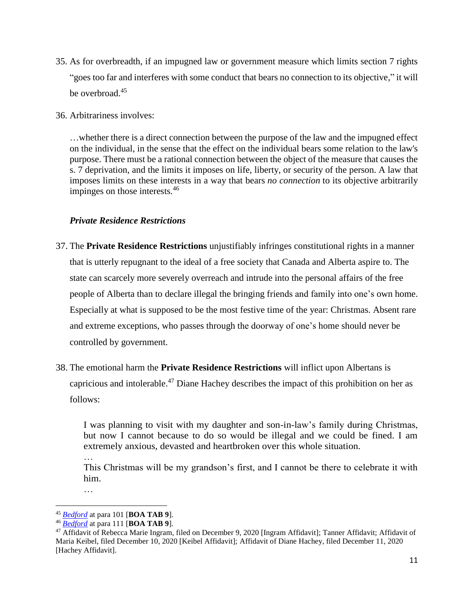- 35. As for overbreadth, if an impugned law or government measure which limits section 7 rights "goes too far and interferes with some conduct that bears no connection to its objective," it will be overbroad.<sup>45</sup>
- 36. Arbitrariness involves:

…whether there is a direct connection between the purpose of the law and the impugned effect on the individual, in the sense that the effect on the individual bears some relation to the law's purpose. There must be a rational connection between the object of the measure that causes the s. 7 deprivation, and the limits it imposes on life, liberty, or security of the person. A law that imposes limits on these interests in a way that bears *no connection* to its objective arbitrarily impinges on those interests.<sup>46</sup>

### <span id="page-12-0"></span>*Private Residence Restrictions*

- 37. The **Private Residence Restrictions** unjustifiably infringes constitutional rights in a manner that is utterly repugnant to the ideal of a free society that Canada and Alberta aspire to. The state can scarcely more severely overreach and intrude into the personal affairs of the free people of Alberta than to declare illegal the bringing friends and family into one's own home. Especially at what is supposed to be the most festive time of the year: Christmas. Absent rare and extreme exceptions, who passes through the doorway of one's home should never be controlled by government.
- 38. The emotional harm the **Private Residence Restrictions** will inflict upon Albertans is capricious and intolerable. <sup>47</sup> Diane Hachey describes the impact of this prohibition on her as follows:

I was planning to visit with my daughter and son-in-law's family during Christmas, but now I cannot because to do so would be illegal and we could be fined. I am extremely anxious, devasted and heartbroken over this whole situation.

This Christmas will be my grandson's first, and I cannot be there to celebrate it with him.

…

 $\overline{a}$ 

…

<sup>45</sup> *Bedford* at para 101 [**BOA TAB 9**].

<sup>46</sup> *Bedford* at para 111 [**BOA TAB 9**].

<sup>47</sup> Affidavit of Rebecca Marie Ingram, filed on December 9, 2020 [Ingram Affidavit]; Tanner Affidavit; Affidavit of Maria Keibel, filed December 10, 2020 [Keibel Affidavit]; Affidavit of Diane Hachey, filed December 11, 2020 [Hachey Affidavit].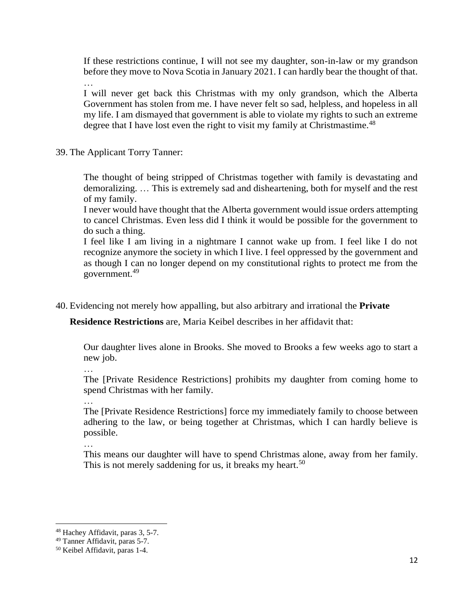If these restrictions continue, I will not see my daughter, son-in-law or my grandson before they move to Nova Scotia in January 2021. I can hardly bear the thought of that.

…

I will never get back this Christmas with my only grandson, which the Alberta Government has stolen from me. I have never felt so sad, helpless, and hopeless in all my life. I am dismayed that government is able to violate my rights to such an extreme degree that I have lost even the right to visit my family at Christmastime.<sup>48</sup>

39. The Applicant Torry Tanner:

The thought of being stripped of Christmas together with family is devastating and demoralizing. … This is extremely sad and disheartening, both for myself and the rest of my family.

I never would have thought that the Alberta government would issue orders attempting to cancel Christmas. Even less did I think it would be possible for the government to do such a thing.

I feel like I am living in a nightmare I cannot wake up from. I feel like I do not recognize anymore the society in which I live. I feel oppressed by the government and as though I can no longer depend on my constitutional rights to protect me from the government.<sup>49</sup>

40. Evidencing not merely how appalling, but also arbitrary and irrational the **Private** 

**Residence Restrictions** are, Maria Keibel describes in her affidavit that:

Our daughter lives alone in Brooks. She moved to Brooks a few weeks ago to start a new job.

The [Private Residence Restrictions] prohibits my daughter from coming home to spend Christmas with her family.

…

The [Private Residence Restrictions] force my immediately family to choose between adhering to the law, or being together at Christmas, which I can hardly believe is possible.

This means our daughter will have to spend Christmas alone, away from her family. This is not merely saddening for us, it breaks my heart.<sup>50</sup>

<sup>48</sup> Hachey Affidavit, paras 3, 5-7.

<sup>49</sup> Tanner Affidavit, paras 5-7.

<sup>50</sup> Keibel Affidavit, paras 1-4.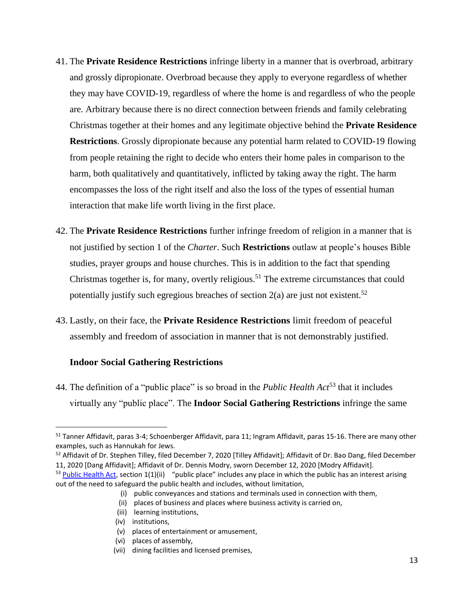- 41. The **Private Residence Restrictions** infringe liberty in a manner that is overbroad, arbitrary and grossly dipropionate. Overbroad because they apply to everyone regardless of whether they may have COVID-19, regardless of where the home is and regardless of who the people are. Arbitrary because there is no direct connection between friends and family celebrating Christmas together at their homes and any legitimate objective behind the **Private Residence Restrictions**. Grossly dipropionate because any potential harm related to COVID-19 flowing from people retaining the right to decide who enters their home pales in comparison to the harm, both qualitatively and quantitatively, inflicted by taking away the right. The harm encompasses the loss of the right itself and also the loss of the types of essential human interaction that make life worth living in the first place.
- 42. The **Private Residence Restrictions** further infringe freedom of religion in a manner that is not justified by section 1 of the *Charter*. Such **Restrictions** outlaw at people's houses Bible studies, prayer groups and house churches. This is in addition to the fact that spending Christmas together is, for many, overtly religious.<sup>51</sup> The extreme circumstances that could potentially justify such egregious breaches of section  $2(a)$  are just not existent.<sup>52</sup>
- 43. Lastly, on their face, the **Private Residence Restrictions** limit freedom of peaceful assembly and freedom of association in manner that is not demonstrably justified.

#### **Indoor Social Gathering Restrictions**

 $\overline{a}$ 

44. The definition of a "public place" is so broad in the *Public Health Act*<sup>53</sup> that it includes virtually any "public place". The **Indoor Social Gathering Restrictions** infringe the same

<sup>&</sup>lt;sup>51</sup> Tanner Affidavit, paras 3-4; Schoenberger Affidavit, para 11; Ingram Affidavit, paras 15-16. There are many other examples, such as Hannukah for Jews.

<sup>&</sup>lt;sup>52</sup> Affidavit of Dr. Stephen Tilley, filed December 7, 2020 [Tilley Affidavit]; Affidavit of Dr. Bao Dang, filed December 11, 2020 [Dang Affidavit]; Affidavit of Dr. Dennis Modry, sworn December 12, 2020 [Modry Affidavit].

 $53$  Public Health Act, section 1(1)(ii) "public place" includes any place in which the public has an interest arising out of the need to safeguard the public health and includes, without limitation,

 <sup>(</sup>i) public conveyances and stations and terminals used in connection with them,

 <sup>(</sup>ii) places of business and places where business activity is carried on,

 <sup>(</sup>iii) learning institutions,

 <sup>(</sup>iv) institutions,

 <sup>(</sup>v) places of entertainment or amusement,

 <sup>(</sup>vi) places of assembly,

 <sup>(</sup>vii) dining facilities and licensed premises,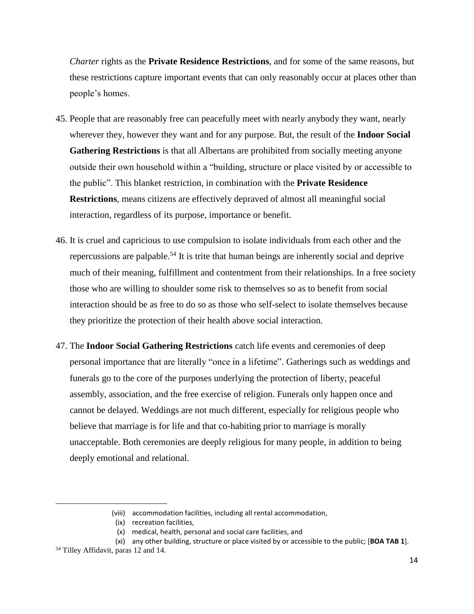*Charter* rights as the **Private Residence Restrictions**, and for some of the same reasons, but these restrictions capture important events that can only reasonably occur at places other than people's homes.

- 45. People that are reasonably free can peacefully meet with nearly anybody they want, nearly wherever they, however they want and for any purpose. But, the result of the **Indoor Social Gathering Restrictions** is that all Albertans are prohibited from socially meeting anyone outside their own household within a "building, structure or place visited by or accessible to the public". This blanket restriction, in combination with the **Private Residence Restrictions**, means citizens are effectively depraved of almost all meaningful social interaction, regardless of its purpose, importance or benefit.
- 46. It is cruel and capricious to use compulsion to isolate individuals from each other and the repercussions are palpable.<sup>54</sup> It is trite that human beings are inherently social and deprive much of their meaning, fulfillment and contentment from their relationships. In a free society those who are willing to shoulder some risk to themselves so as to benefit from social interaction should be as free to do so as those who self-select to isolate themselves because they prioritize the protection of their health above social interaction.
- 47. The **Indoor Social Gathering Restrictions** catch life events and ceremonies of deep personal importance that are literally "once in a lifetime". Gatherings such as weddings and funerals go to the core of the purposes underlying the protection of liberty, peaceful assembly, association, and the free exercise of religion. Funerals only happen once and cannot be delayed. Weddings are not much different, especially for religious people who believe that marriage is for life and that co-habiting prior to marriage is morally unacceptable. Both ceremonies are deeply religious for many people, in addition to being deeply emotional and relational.

 <sup>(</sup>viii) accommodation facilities, including all rental accommodation,

 <sup>(</sup>ix) recreation facilities,

 <sup>(</sup>x) medical, health, personal and social care facilities, and

 <sup>(</sup>xi) any other building, structure or place visited by or accessible to the public; [**BOA TAB 1**].

<sup>54</sup> Tilley Affidavit, paras 12 and 14.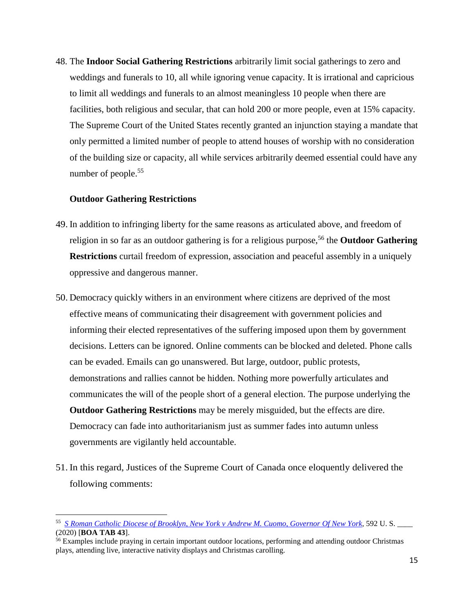48. The **Indoor Social Gathering Restrictions** arbitrarily limit social gatherings to zero and weddings and funerals to 10, all while ignoring venue capacity. It is irrational and capricious to limit all weddings and funerals to an almost meaningless 10 people when there are facilities, both religious and secular, that can hold 200 or more people, even at 15% capacity. The Supreme Court of the United States recently granted an injunction staying a mandate that only permitted a limited number of people to attend houses of worship with no consideration of the building size or capacity, all while services arbitrarily deemed essential could have any number of people.<sup>55</sup>

#### **Outdoor Gathering Restrictions**

- 49. In addition to infringing liberty for the same reasons as articulated above, and freedom of religion in so far as an outdoor gathering is for a religious purpose,<sup>56</sup> the **Outdoor Gathering Restrictions** curtail freedom of expression, association and peaceful assembly in a uniquely oppressive and dangerous manner.
- 50. Democracy quickly withers in an environment where citizens are deprived of the most effective means of communicating their disagreement with government policies and informing their elected representatives of the suffering imposed upon them by government decisions. Letters can be ignored. Online comments can be blocked and deleted. Phone calls can be evaded. Emails can go unanswered. But large, outdoor, public protests, demonstrations and rallies cannot be hidden. Nothing more powerfully articulates and communicates the will of the people short of a general election. The purpose underlying the **Outdoor Gathering Restrictions** may be merely misguided, but the effects are dire. Democracy can fade into authoritarianism just as summer fades into autumn unless governments are vigilantly held accountable.
- 51. In this regard, Justices of the Supreme Court of Canada once eloquently delivered the following comments:

<sup>55</sup> *S Roman Catholic Diocese of Brooklyn, New York v Andrew M. Cuomo, Governor Of New York,* 592 U. S. \_\_\_\_ (2020) [**BOA TAB 43**].

<sup>&</sup>lt;sup>56</sup> Examples include praying in certain important outdoor locations, performing and attending outdoor Christmas plays, attending live, interactive nativity displays and Christmas carolling.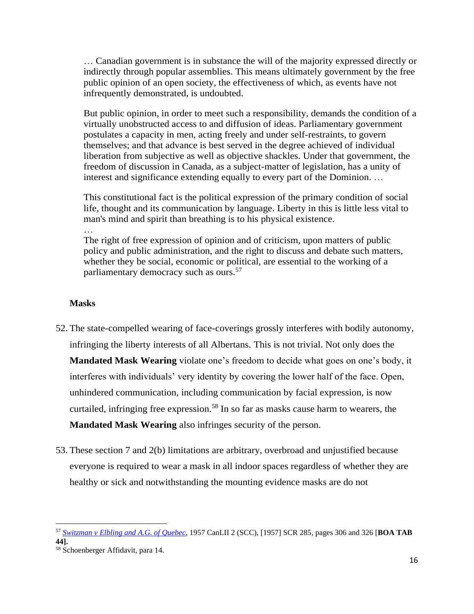… Canadian government is in substance the will of the majority expressed directly or indirectly through popular assemblies. This means ultimately government by the free public opinion of an open society, the effectiveness of which, as events have not infrequently demonstrated, is undoubted.

But public opinion, in order to meet such a responsibility, demands the condition of a virtually unobstructed access to and diffusion of ideas. Parliamentary government postulates a capacity in men, acting freely and under self-restraints, to govern themselves; and that advance is best served in the degree achieved of individual liberation from subjective as well as objective shackles. Under that government, the freedom of discussion in Canada, as a subject-matter of legislation, has a unity of interest and significance extending equally to every part of the Dominion. …

This constitutional fact is the political expression of the primary condition of social life, thought and its communication by language. Liberty in this is little less vital to man's mind and spirit than breathing is to his physical existence.

The right of free expression of opinion and of criticism, upon matters of public policy and public administration, and the right to discuss and debate such matters, whether they be social, economic or political, are essential to the working of a parliamentary democracy such as ours.<sup>57</sup>

#### **Masks**

- 52. The state-compelled wearing of face-coverings grossly interferes with bodily autonomy, infringing the liberty interests of all Albertans. This is not trivial. Not only does the **Mandated Mask Wearing** violate one's freedom to decide what goes on one's body, it interferes with individuals' very identity by covering the lower half of the face. Open, unhindered communication, including communication by facial expression, is now curtailed, infringing free expression.<sup>58</sup> In so far as masks cause harm to wearers, the **Mandated Mask Wearing** also infringes security of the person.
- 53. These section 7 and 2(b) limitations are arbitrary, overbroad and unjustified because everyone is required to wear a mask in all indoor spaces regardless of whether they are healthy or sick and notwithstanding the mounting evidence masks are do not

<sup>57</sup> *Switzman v Elbling and A.G. of Quebec*, 1957 CanLII 2 (SCC), [1957] SCR 285, pages 306 and 326 [**BOA TAB 44].**

<sup>58</sup> Schoenberger Affidavit, para 14.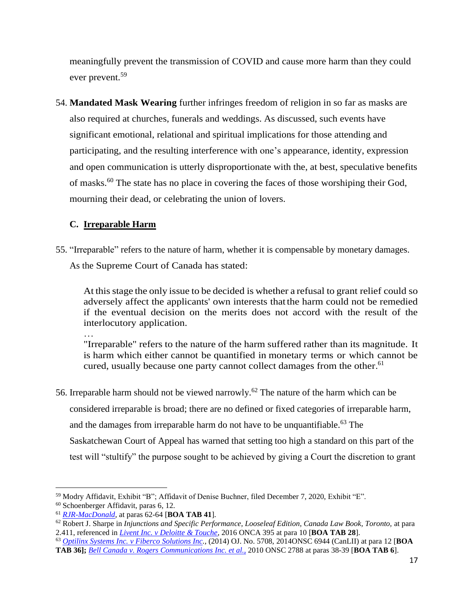meaningfully prevent the transmission of COVID and cause more harm than they could ever prevent.<sup>59</sup>

54. **Mandated Mask Wearing** further infringes freedom of religion in so far as masks are also required at churches, funerals and weddings. As discussed, such events have significant emotional, relational and spiritual implications for those attending and participating, and the resulting interference with one's appearance, identity, expression and open communication is utterly disproportionate with the, at best, speculative benefits of masks.<sup>60</sup> The state has no place in covering the faces of those worshiping their God, mourning their dead, or celebrating the union of lovers.

### <span id="page-18-0"></span>**C. Irreparable Harm**

55. "Irreparable" refers to the nature of harm, whether it is compensable by monetary damages. As the Supreme Court of Canada has stated:

At thisstage the only issue to be decided is whether a refusal to grant relief could so adversely affect the applicants' own interests that the harm could not be remedied if the eventual decision on the merits does not accord with the result of the interlocutory application.

…

"Irreparable" refers to the nature of the harm suffered rather than its magnitude. It is harm which either cannot be quantified in monetary terms or which cannot be cured, usually because one party cannot collect damages from the other.<sup>61</sup>

56. Irreparable harm should not be viewed narrowly.<sup>62</sup> The nature of the harm which can be considered irreparable is broad; there are no defined or fixed categories of irreparable harm, and the damages from irreparable harm do not have to be unquantifiable.<sup>63</sup> The Saskatchewan Court of Appeal has warned that setting too high a standard on this part of the test will "stultify" the purpose sought to be achieved by giving a Court the discretion to grant

 $\overline{a}$ 

<sup>63</sup> *Optilinx Systems Inc. v Fiberco Solutions Inc.,* (2014) OJ. No. 5708, 2014ONSC 6944 (CanLII) at para 12 [**BOA TAB 36];** *Bell Canada v. Rogers Communications Inc. et al.,* 2010 ONSC 2788 at paras 38-39 [**BOA TAB 6**].

<sup>59</sup> Modry Affidavit, Exhibit "B"; Affidavit of Denise Buchner, filed December 7, 2020, Exhibit "E".

<sup>60</sup> Schoenberger Affidavit, paras 6, 12.

<sup>61</sup> *RJR-MacDonald,* at paras 62-64 [**BOA TAB 41**].

<sup>62</sup> Robert J. Sharpe in *Injunctions and Specific Performance, Looseleaf Edition, Canada Law Book, Toronto,* at para 2.411, referenced in *Livent Inc. v Deloitte & Touche,* 2016 ONCA 395 at para 10 [**BOA TAB 28**].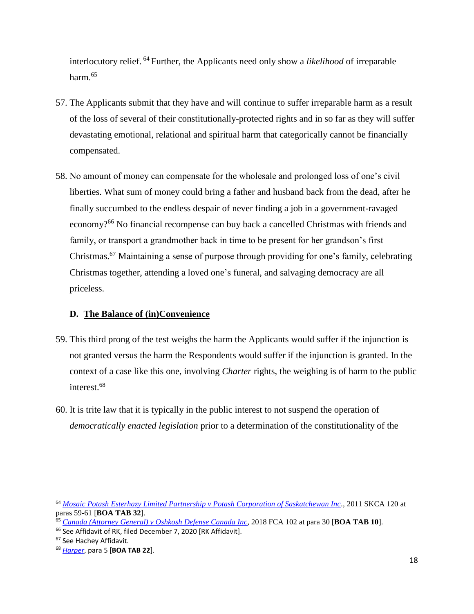interlocutory relief. <sup>64</sup> Further, the Applicants need only show a *likelihood* of irreparable harm.<sup>65</sup>

- 57. The Applicants submit that they have and will continue to suffer irreparable harm as a result of the loss of several of their constitutionally-protected rights and in so far as they will suffer devastating emotional, relational and spiritual harm that categorically cannot be financially compensated.
- 58. No amount of money can compensate for the wholesale and prolonged loss of one's civil liberties. What sum of money could bring a father and husband back from the dead, after he finally succumbed to the endless despair of never finding a job in a government-ravaged economy?<sup>66</sup> No financial recompense can buy back a cancelled Christmas with friends and family, or transport a grandmother back in time to be present for her grandson's first Christmas.<sup>67</sup> Maintaining a sense of purpose through providing for one's family, celebrating Christmas together, attending a loved one's funeral, and salvaging democracy are all priceless.

### <span id="page-19-0"></span>**D. The Balance of (in)Convenience**

- 59. This third prong of the test weighs the harm the Applicants would suffer if the injunction is not granted versus the harm the Respondents would suffer if the injunction is granted. In the context of a case like this one, involving *Charter* rights, the weighing is of harm to the public interest.<sup>68</sup>
- 60. It is trite law that it is typically in the public interest to not suspend the operation of *democratically enacted legislation* prior to a determination of the constitutionality of the

<sup>64</sup> *Mosaic Potash Esterhazy Limited Partnership v Potash Corporation of Saskatchewan Inc.,* 2011 SKCA 120 at paras 59-61 [**BOA TAB 32**].

<sup>65</sup> *Canada (Attorney General) v Oshkosh Defense Canada Inc*, 2018 FCA 102 at para 30 [**BOA TAB 10**].

<sup>&</sup>lt;sup>66</sup> See Affidavit of RK, filed December 7, 2020 [RK Affidavit].

<sup>67</sup> See Hachey Affidavit.

<sup>68</sup> *Harper*, para 5 [**BOA TAB 22**].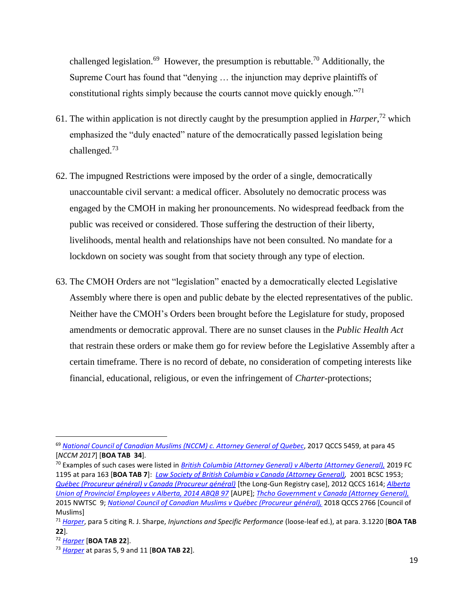challenged legislation.<sup>69</sup> However, the presumption is rebuttable.<sup>70</sup> Additionally, the Supreme Court has found that "denying … the injunction may deprive plaintiffs of constitutional rights simply because the courts cannot move quickly enough."<sup>71</sup>

- 61. The within application is not directly caught by the presumption applied in *Harper*, <sup>72</sup> which emphasized the "duly enacted" nature of the democratically passed legislation being challenged.<sup>73</sup>
- 62. The impugned Restrictions were imposed by the order of a single, democratically unaccountable civil servant: a medical officer. Absolutely no democratic process was engaged by the CMOH in making her pronouncements. No widespread feedback from the public was received or considered. Those suffering the destruction of their liberty, livelihoods, mental health and relationships have not been consulted. No mandate for a lockdown on society was sought from that society through any type of election.
- 63. The CMOH Orders are not "legislation" enacted by a democratically elected Legislative Assembly where there is open and public debate by the elected representatives of the public. Neither have the CMOH's Orders been brought before the Legislature for study, proposed amendments or democratic approval. There are no sunset clauses in the *Public Health Act* that restrain these orders or make them go for review before the Legislative Assembly after a certain timeframe. There is no record of debate, no consideration of competing interests like financial, educational, religious, or even the infringement of *Charter*-protections;

<sup>72</sup> *Harper* [**BOA TAB 22**].

<sup>69</sup> *National Council of Canadian Muslims (NCCM) c. Attorney General of Quebec*, 2017 QCCS 5459, at para 45 [*NCCM 2017*] [**BOA TAB 34**].

<sup>70</sup> Examples of such cases were listed in *British Columbia (Attorney General) v Alberta (Attorney General),* 2019 FC 1195 at para 163 [**BOA TAB 7**]: *Law Society of British Columbia v Canada (Attorney General),* 2001 BCSC 1953; *Québec (Procureur général) v Canada (Procureur général)* [the Long-Gun Registry case], 2012 QCCS 1614; *Alberta Union of Provincial Employees v Alberta, 2014 ABQB 97* [AUPE]; *Thcho Government v Canada (Attorney General),* 2015 NWTSC 9; *National Council of Canadian Muslims v Québec (Procureur général),* 2018 QCCS 2766 [Council of Muslims]

<sup>71</sup> *Harper*, para 5 citing R. J. Sharpe, *Injunctions and Specific Performance* (loose-leaf ed.), at para. 3.1220 [**BOA TAB 22**].

<sup>73</sup> *Harper* at paras 5, 9 and 11 [**BOA TAB 22**].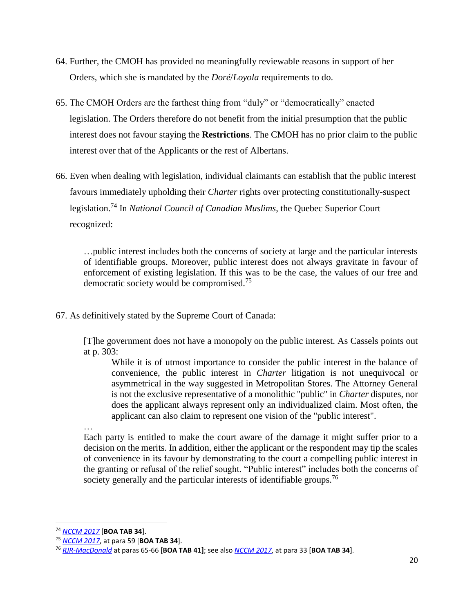- 64. Further, the CMOH has provided no meaningfully reviewable reasons in support of her Orders, which she is mandated by the *Doré*/*Loyola* requirements to do.
- 65. The CMOH Orders are the farthest thing from "duly" or "democratically" enacted legislation. The Orders therefore do not benefit from the initial presumption that the public interest does not favour staying the **Restrictions**. The CMOH has no prior claim to the public interest over that of the Applicants or the rest of Albertans.
- 66. Even when dealing with legislation, individual claimants can establish that the public interest favours immediately upholding their *Charter* rights over protecting constitutionally-suspect legislation.<sup>74</sup> In *National Council of Canadian Muslims*, the Quebec Superior Court recognized:

…public interest includes both the concerns of society at large and the particular interests of identifiable groups. Moreover, public interest does not always gravitate in favour of enforcement of existing legislation. If this was to be the case, the values of our free and democratic society would be compromised.<sup>75</sup>

67. As definitively stated by the Supreme Court of Canada:

[T]he government does not have a monopoly on the public interest. As Cassels points out at p. 303:

While it is of utmost importance to consider the public interest in the balance of convenience, the public interest in *Charter* litigation is not unequivocal or asymmetrical in the way suggested in Metropolitan Stores. The Attorney General is not the exclusive representative of a monolithic "public" in *Charter* disputes, nor does the applicant always represent only an individualized claim. Most often, the applicant can also claim to represent one vision of the "public interest".

… Each party is entitled to make the court aware of the damage it might suffer prior to a decision on the merits. In addition, either the applicant or the respondent may tip the scales of convenience in its favour by demonstrating to the court a compelling public interest in the granting or refusal of the relief sought. "Public interest" includes both the concerns of society generally and the particular interests of identifiable groups.<sup>76</sup>

<sup>74</sup> *NCCM 2017* [**BOA TAB 34**].

<sup>75</sup> *NCCM 2017*, at para 59 [**BOA TAB 34**].

<sup>76</sup> *RJR-MacDonald* at paras 65-66 [**BOA TAB 41]**; see also *NCCM 2017*, at para 33 [**BOA TAB 34**].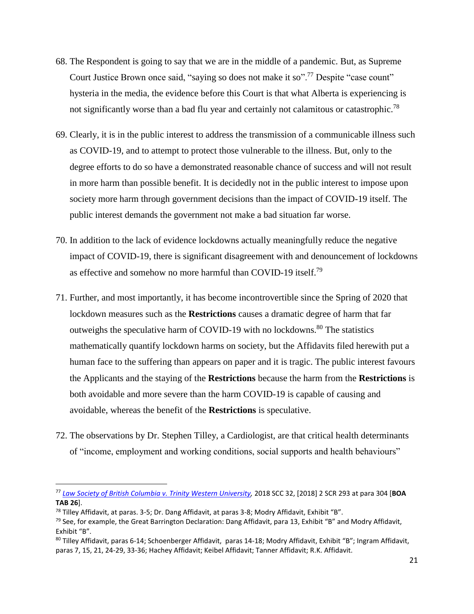- 68. The Respondent is going to say that we are in the middle of a pandemic. But, as Supreme Court Justice Brown once said, "saying so does not make it so".<sup>77</sup> Despite "case count" hysteria in the media, the evidence before this Court is that what Alberta is experiencing is not significantly worse than a bad flu year and certainly not calamitous or catastrophic.<sup>78</sup>
- 69. Clearly, it is in the public interest to address the transmission of a communicable illness such as COVID-19, and to attempt to protect those vulnerable to the illness. But, only to the degree efforts to do so have a demonstrated reasonable chance of success and will not result in more harm than possible benefit. It is decidedly not in the public interest to impose upon society more harm through government decisions than the impact of COVID-19 itself. The public interest demands the government not make a bad situation far worse.
- 70. In addition to the lack of evidence lockdowns actually meaningfully reduce the negative impact of COVID-19, there is significant disagreement with and denouncement of lockdowns as effective and somehow no more harmful than COVID-19 itself.<sup>79</sup>
- 71. Further, and most importantly, it has become incontrovertible since the Spring of 2020 that lockdown measures such as the **Restrictions** causes a dramatic degree of harm that far outweighs the speculative harm of COVID-19 with no lockdowns.<sup>80</sup> The statistics mathematically quantify lockdown harms on society, but the Affidavits filed herewith put a human face to the suffering than appears on paper and it is tragic. The public interest favours the Applicants and the staying of the **Restrictions** because the harm from the **Restrictions** is both avoidable and more severe than the harm COVID-19 is capable of causing and avoidable, whereas the benefit of the **Restrictions** is speculative.
- 72. The observations by Dr. Stephen Tilley, a Cardiologist, are that critical health determinants of "income, employment and working conditions, social supports and health behaviours"

<sup>77</sup> *Law Society of British Columbia v. Trinity Western University,* 2018 SCC 32, [2018] 2 SCR 293 at para 304 [**BOA TAB 26**].

<sup>78</sup> Tilley Affidavit, at paras. 3-5; Dr. Dang Affidavit, at paras 3-8; Modry Affidavit, Exhibit "B".

 $79$  See, for example, the Great Barrington Declaration: Dang Affidavit, para 13, Exhibit "B" and Modry Affidavit, Exhibit "B".

<sup>80</sup> Tilley Affidavit, paras 6-14; Schoenberger Affidavit, paras 14-18; Modry Affidavit, Exhibit "B"; Ingram Affidavit, paras 7, 15, 21, 24-29, 33-36; Hachey Affidavit; Keibel Affidavit; Tanner Affidavit; R.K. Affidavit.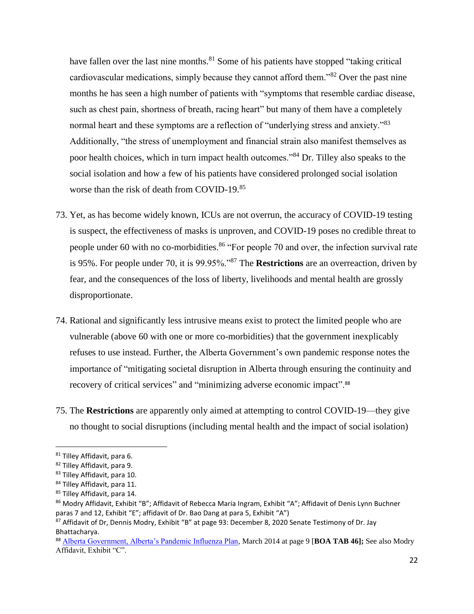have fallen over the last nine months.<sup>81</sup> Some of his patients have stopped "taking critical" cardiovascular medications, simply because they cannot afford them.<sup>382</sup> Over the past nine months he has seen a high number of patients with "symptoms that resemble cardiac disease, such as chest pain, shortness of breath, racing heart" but many of them have a completely normal heart and these symptoms are a reflection of "underlying stress and anxiety."<sup>83</sup> Additionally, "the stress of unemployment and financial strain also manifest themselves as poor health choices, which in turn impact health outcomes."<sup>84</sup> Dr. Tilley also speaks to the social isolation and how a few of his patients have considered prolonged social isolation worse than the risk of death from COVID-19.<sup>85</sup>

- 73. Yet, as has become widely known, ICUs are not overrun, the accuracy of COVID-19 testing is suspect, the effectiveness of masks is unproven, and COVID-19 poses no credible threat to people under 60 with no co-morbidities.<sup>86</sup> "For people 70 and over, the infection survival rate is 95%. For people under 70, it is 99.95%."<sup>87</sup> The **Restrictions** are an overreaction, driven by fear, and the consequences of the loss of liberty, livelihoods and mental health are grossly disproportionate.
- 74. Rational and significantly less intrusive means exist to protect the limited people who are vulnerable (above 60 with one or more co-morbidities) that the government inexplicably refuses to use instead. Further, the Alberta Government's own pandemic response notes the importance of "mitigating societal disruption in Alberta through ensuring the continuity and recovery of critical services" and "minimizing adverse economic impact".<sup>88</sup>
- 75. The **Restrictions** are apparently only aimed at attempting to control COVID-19—they give no thought to social disruptions (including mental health and the impact of social isolation)

<sup>81</sup> Tilley Affidavit, para 6.

<sup>82</sup> Tilley Affidavit, para 9.

<sup>83</sup> Tilley Affidavit, para 10.

<sup>84</sup> Tilley Affidavit, para 11.

<sup>85</sup> Tilley Affidavit, para 14.

<sup>86</sup> Modry Affidavit, Exhibit "B"; Affidavit of Rebecca Maria Ingram, Exhibit "A"; Affidavit of Denis Lynn Buchner paras 7 and 12, Exhibit "E"; affidavit of Dr. Bao Dang at para 5, Exhibit "A")

<sup>87</sup> Affidavit of Dr, Dennis Modry, Exhibit "B" at page 93: December 8, 2020 Senate Testimony of Dr. Jay Bhattacharya.

<sup>88</sup> Alberta Government, Alberta's Pandemic Influenza Plan, March 2014 at page 9 [**BOA TAB 46];** See also Modry Affidavit, Exhibit "C".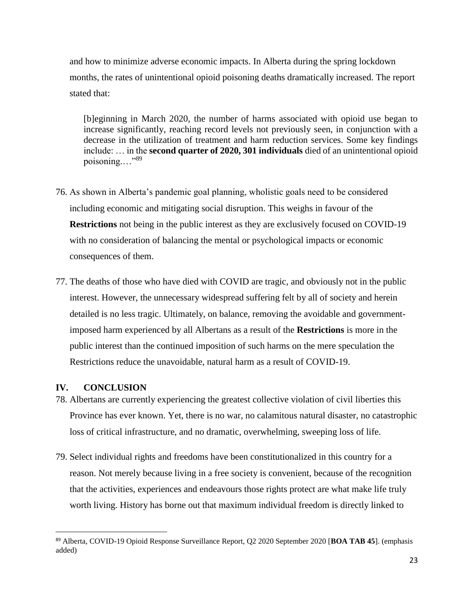and how to minimize adverse economic impacts. In Alberta during the spring lockdown months, the rates of unintentional opioid poisoning deaths dramatically increased. The report stated that:

[b]eginning in March 2020, the number of harms associated with opioid use began to increase significantly, reaching record levels not previously seen, in conjunction with a decrease in the utilization of treatment and harm reduction services. Some key findings include: … in the **second quarter of 2020, 301 individuals** died of an unintentional opioid poisoning.…"<sup>89</sup>

- 76. As shown in Alberta's pandemic goal planning, wholistic goals need to be considered including economic and mitigating social disruption. This weighs in favour of the **Restrictions** not being in the public interest as they are exclusively focused on COVID-19 with no consideration of balancing the mental or psychological impacts or economic consequences of them.
- 77. The deaths of those who have died with COVID are tragic, and obviously not in the public interest. However, the unnecessary widespread suffering felt by all of society and herein detailed is no less tragic. Ultimately, on balance, removing the avoidable and governmentimposed harm experienced by all Albertans as a result of the **Restrictions** is more in the public interest than the continued imposition of such harms on the mere speculation the Restrictions reduce the unavoidable, natural harm as a result of COVID-19.

#### <span id="page-24-0"></span>**IV. CONCLUSION**

- 78. Albertans are currently experiencing the greatest collective violation of civil liberties this Province has ever known. Yet, there is no war, no calamitous natural disaster, no catastrophic loss of critical infrastructure, and no dramatic, overwhelming, sweeping loss of life.
- 79. Select individual rights and freedoms have been constitutionalized in this country for a reason. Not merely because living in a free society is convenient, because of the recognition that the activities, experiences and endeavours those rights protect are what make life truly worth living. History has borne out that maximum individual freedom is directly linked to

<sup>89</sup> Alberta, COVID-19 Opioid Response Surveillance Report, Q2 2020 September 2020 [**BOA TAB 45**]. (emphasis added)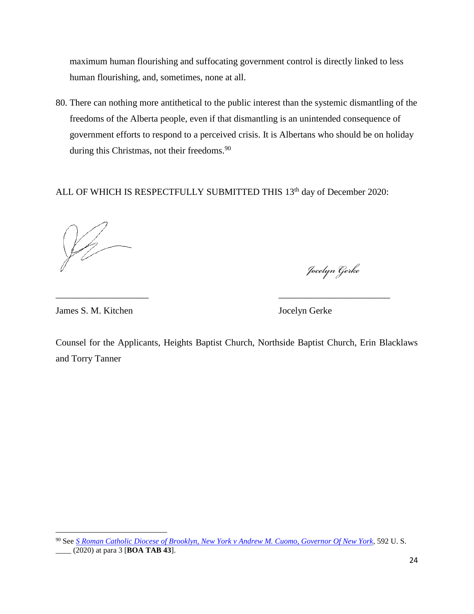maximum human flourishing and suffocating government control is directly linked to less human flourishing, and, sometimes, none at all.

80. There can nothing more antithetical to the public interest than the systemic dismantling of the freedoms of the Alberta people, even if that dismantling is an unintended consequence of government efforts to respond to a perceived crisis. It is Albertans who should be on holiday during this Christmas, not their freedoms.<sup>90</sup>

ALL OF WHICH IS RESPECTFULLY SUBMITTED THIS 13<sup>th</sup> day of December 2020:

\_\_\_\_\_\_\_\_\_\_\_\_\_\_\_\_\_\_\_\_ \_\_\_\_\_\_\_\_\_\_\_\_\_\_\_\_\_\_\_\_\_\_\_\_

Jocelyn Gerke

James S. M. Kitchen Jocelyn Gerke

Counsel for the Applicants, Heights Baptist Church, Northside Baptist Church, Erin Blacklaws and Torry Tanner

 $\overline{a}$ <sup>90</sup> See *S Roman Catholic Diocese of Brooklyn, New York v Andrew M. Cuomo, Governor Of New York,* 592 U. S. \_\_\_\_ (2020) at para 3 [**BOA TAB 43**].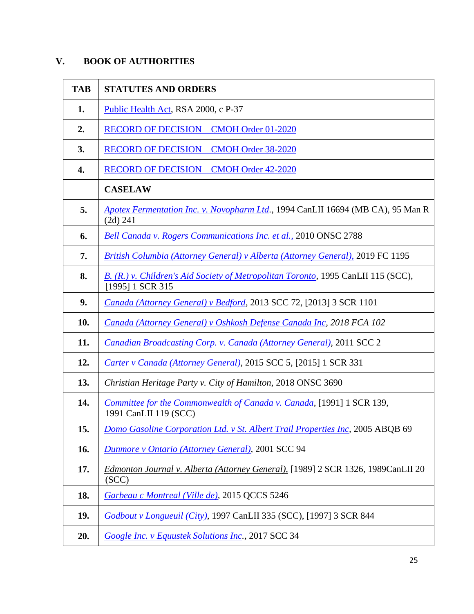# <span id="page-26-0"></span>**V. BOOK OF AUTHORITIES**

| <b>TAB</b> | <b>STATUTES AND ORDERS</b>                                                                            |
|------------|-------------------------------------------------------------------------------------------------------|
| 1.         | Public Health Act, RSA 2000, c P-37                                                                   |
| 2.         | <b>RECORD OF DECISION - CMOH Order 01-2020</b>                                                        |
| 3.         | <b>RECORD OF DECISION – CMOH Order 38-2020</b>                                                        |
| 4.         | <b>RECORD OF DECISION - CMOH Order 42-2020</b>                                                        |
|            | <b>CASELAW</b>                                                                                        |
| 5.         | Apotex Fermentation Inc. v. Novopharm Ltd., 1994 CanLII 16694 (MB CA), 95 Man R<br>(2d) 241           |
| 6.         | Bell Canada v. Rogers Communications Inc. et al., 2010 ONSC 2788                                      |
| 7.         | <b>British Columbia (Attorney General) v Alberta (Attorney General), 2019 FC 1195</b>                 |
| 8.         | B. (R.) v. Children's Aid Society of Metropolitan Toronto, 1995 CanLII 115 (SCC),<br>[1995] 1 SCR 315 |
| 9.         | Canada (Attorney General) v Bedford, 2013 SCC 72, [2013] 3 SCR 1101                                   |
| 10.        | Canada (Attorney General) v Oshkosh Defense Canada Inc, 2018 FCA 102                                  |
| 11.        | <b>Canadian Broadcasting Corp. v. Canada (Attorney General), 2011 SCC 2</b>                           |
| 12.        | Carter v Canada (Attorney General), 2015 SCC 5, [2015] 1 SCR 331                                      |
| 13.        | Christian Heritage Party v. City of Hamilton, 2018 ONSC 3690                                          |
| 14.        | Committee for the Commonwealth of Canada v. Canada, [1991] 1 SCR 139,<br>1991 CanLII 119 (SCC)        |
| 15.        | Domo Gasoline Corporation Ltd. v St. Albert Trail Properties Inc, 2005 ABQB 69                        |
| 16.        | <b>Dunmore v Ontario (Attorney General), 2001 SCC 94</b>                                              |
| 17.        | Edmonton Journal v. Alberta (Attorney General), [1989] 2 SCR 1326, 1989CanLII 20<br>(SCC)             |
| 18.        | Garbeau c Montreal (Ville de), 2015 QCCS 5246                                                         |
| 19.        | Godbout v Longueuil (City), 1997 CanLII 335 (SCC), [1997] 3 SCR 844                                   |
| 20.        | Google Inc. v Equustek Solutions Inc., 2017 SCC 34                                                    |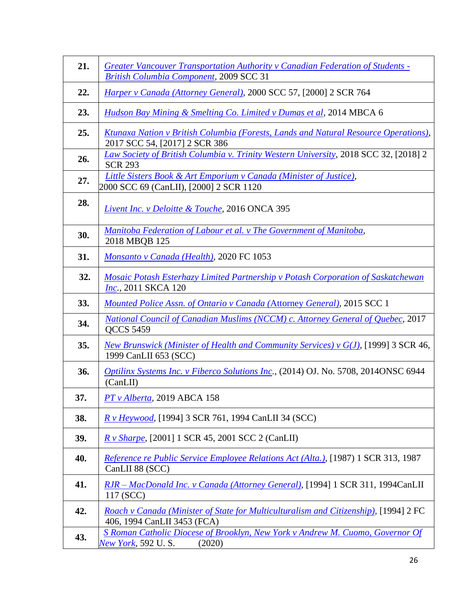| 21. | <b>Greater Vancouver Transportation Authority v Canadian Federation of Students -</b><br><b>British Columbia Component, 2009 SCC 31</b> |
|-----|-----------------------------------------------------------------------------------------------------------------------------------------|
| 22. | Harper v Canada (Attorney General), 2000 SCC 57, [2000] 2 SCR 764                                                                       |
| 23. | Hudson Bay Mining & Smelting Co. Limited v Dumas et al, 2014 MBCA 6                                                                     |
| 25. | <u>Ktunaxa Nation v British Columbia (Forests, Lands and Natural Resource Operations),</u><br>2017 SCC 54, [2017] 2 SCR 386             |
| 26. | Law Society of British Columbia v. Trinity Western University, 2018 SCC 32, [2018] 2<br><b>SCR 293</b>                                  |
| 27. | Little Sisters Book & Art Emporium v Canada (Minister of Justice),<br>2000 SCC 69 (CanLII), [2000] 2 SCR 1120                           |
| 28. | Livent Inc. v Deloitte & Touche, 2016 ONCA 395                                                                                          |
| 30. | Manitoba Federation of Labour et al. v The Government of Manitoba,<br>2018 MBQB 125                                                     |
| 31. | Monsanto v Canada (Health), 2020 FC 1053                                                                                                |
| 32. | Mosaic Potash Esterhazy Limited Partnership v Potash Corporation of Saskatchewan<br><i>Inc.</i> , 2011 SKCA 120                         |
| 33. | <i>Mounted Police Assn. of Ontario v Canada (Attorney General), 2015 SCC 1</i>                                                          |
| 34. | National Council of Canadian Muslims (NCCM) c. Attorney General of Quebec, 2017<br><b>QCCS 5459</b>                                     |
| 35. | New Brunswick (Minister of Health and Community Services) v $G(J)$ , [1999] 3 SCR 46,<br>1999 CanLII 653 (SCC)                          |
| 36. | Optilinx Systems Inc. v Fiberco Solutions Inc., (2014) OJ. No. 5708, 2014ONSC 6944<br>(CanLII)                                          |
| 37. | $PT$ v Alberta, 2019 ABCA 158                                                                                                           |
| 38. | R v Heywood, [1994] 3 SCR 761, 1994 CanLII 34 (SCC)                                                                                     |
| 39. | R v Sharpe, [2001] 1 SCR 45, 2001 SCC 2 (CanLII)                                                                                        |
| 40. | Reference re Public Service Employee Relations Act (Alta.), [1987) 1 SCR 313, 1987<br>CanLII 88 (SCC)                                   |
| 41. | RJR – MacDonald Inc. v Canada (Attorney General), [1994] 1 SCR 311, 1994CanLII<br>117 (SCC)                                             |
| 42. | Roach v Canada (Minister of State for Multiculturalism and Citizenship), [1994] 2 FC<br>406, 1994 CanLII 3453 (FCA)                     |
| 43. | S Roman Catholic Diocese of Brooklyn, New York v Andrew M. Cuomo, Governor Of<br>New York, 592 U.S.<br>(2020)                           |